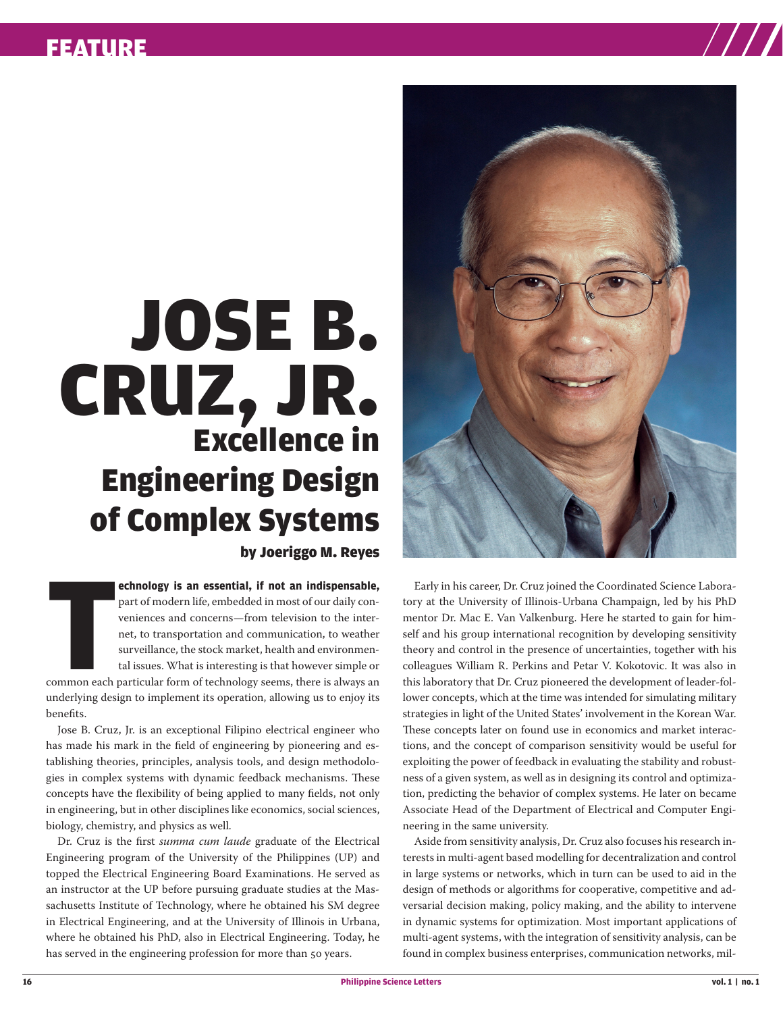## FEATURE

## Excellence in Engineering Design of Complex Systems JOSE B. CRUZ, JR. by Joeriggo M. Reyes

**T echnology is an essential, if not an indispensable,** part of modern life, embedded in most of our daily conveniences and concerns—from television to the internet, to transportation and communication, to weather surveillance, the stock market, health and environmental issues. What is interesting is that however simple or common each particular form of technology seems, there is always an underlying design to implement its operation, allowing us to enjoy its benefits.

Jose B. Cruz, Jr. is an exceptional Filipino electrical engineer who has made his mark in the field of engineering by pioneering and establishing theories, principles, analysis tools, and design methodologies in complex systems with dynamic feedback mechanisms. These concepts have the flexibility of being applied to many fields, not only in engineering, but in other disciplines like economics, social sciences, biology, chemistry, and physics as well.

Dr. Cruz is the first *summa cum laude* graduate of the Electrical Engineering program of the University of the Philippines (UP) and topped the Electrical Engineering Board Examinations. He served as an instructor at the UP before pursuing graduate studies at the Massachusetts Institute of Technology, where he obtained his SM degree in Electrical Engineering, and at the University of Illinois in Urbana, where he obtained his PhD, also in Electrical Engineering. Today, he has served in the engineering profession for more than 50 years.



Early in his career, Dr. Cruz joined the Coordinated Science Laboratory at the University of Illinois-Urbana Champaign, led by his PhD mentor Dr. Mac E. Van Valkenburg. Here he started to gain for himself and his group international recognition by developing sensitivity theory and control in the presence of uncertainties, together with his colleagues William R. Perkins and Petar V. Kokotovic. It was also in this laboratory that Dr. Cruz pioneered the development of leader-follower concepts, which at the time was intended for simulating military strategies in light of the United States' involvement in the Korean War. These concepts later on found use in economics and market interactions, and the concept of comparison sensitivity would be useful for exploiting the power of feedback in evaluating the stability and robustness of a given system, as well as in designing its control and optimization, predicting the behavior of complex systems. He later on became Associate Head of the Department of Electrical and Computer Engineering in the same university.

Aside from sensitivity analysis, Dr. Cruz also focuses his research interests in multi-agent based modelling for decentralization and control in large systems or networks, which in turn can be used to aid in the design of methods or algorithms for cooperative, competitive and adversarial decision making, policy making, and the ability to intervene in dynamic systems for optimization. Most important applications of multi-agent systems, with the integration of sensitivity analysis, can be found in complex business enterprises, communication networks, mil-